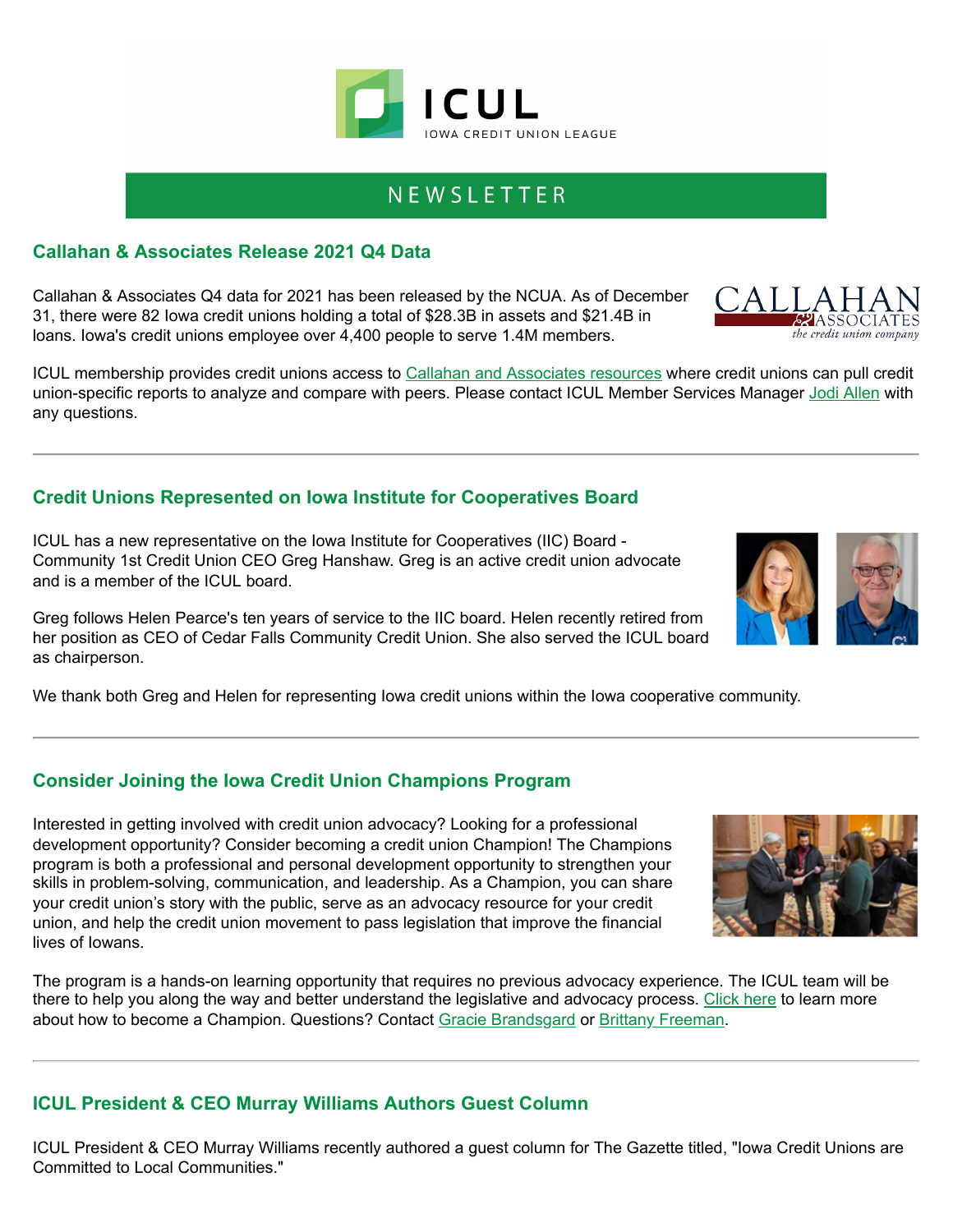## NEWSLETTER

#### **Callahan & Associates Release 2021 Q4 Data**

Callahan & Associates Q4 data for 2021 has been released by the NCUA. As of December 31, there were 82 Iowa credit unions holding a total of \$28.3B in assets and \$21.4B in loans. Iowa's credit unions employee over 4,400 people to serve 1.4M members.

ICUL membership provides credit unions access to [Callahan and Associates resources](https://info.iowacreditunions.com/e/821233/--login/4yg23/%%email_id%%?h=%%internal.tracker_url_hash%%) where credit unions can pull credit union-specific reports to analyze and compare with peers. Please contact ICUL Member Services Manager [Jodi Allen](mailto:jodi.allen@iowacreditunions.com) with any questions.

### **Credit Unions Represented on Iowa Institute for Cooperatives Board**

ICUL has a new representative on the Iowa Institute for Cooperatives (IIC) Board - Community 1st Credit Union CEO Greg Hanshaw. Greg is an active credit union advocate and is a member of the ICUL board.

Greg follows Helen Pearce's ten years of service to the IIC board. Helen recently retired from her position as CEO of Cedar Falls Community Credit Union. She also served the ICUL board as chairperson.

We thank both Greg and Helen for representing Iowa credit unions within the Iowa cooperative community.

### **Consider Joining the Iowa Credit Union Champions Program**

Interested in getting involved with credit union advocacy? Looking for a professional development opportunity? Consider becoming a credit union Champion! The Champions program is both a professional and personal development opportunity to strengthen your skills in problem-solving, communication, and leadership. As a Champion, you can share your credit union's story with the public, serve as an advocacy resource for your credit union, and help the credit union movement to pass legislation that improve the financial lives of Iowans.

The program is a hands-on learning opportunity that requires no previous advocacy experience. The ICUL team will be there to help you along the way and better understand the legislative and advocacy process. [Click here](https://info.iowacreditunions.com/e/821233/tZwBKt0-Champion-One-Pager-pdf/4yg26/%%email_id%%?h=%%internal.tracker_url_hash%%) to learn more about how to become a Champion. Questions? Contact [Gracie Brandsgard](mailto:gracie.brandsgard@policyworksllc.com) or [Brittany Freeman.](mailto:brittany.freeman@policyworksllc.com)

#### **ICUL President & CEO Murray Williams Authors Guest Column**

ICUL President & CEO Murray Williams recently authored a guest column for The Gazette titled, "Iowa Credit Unions are Committed to Local Communities."









the credit union company

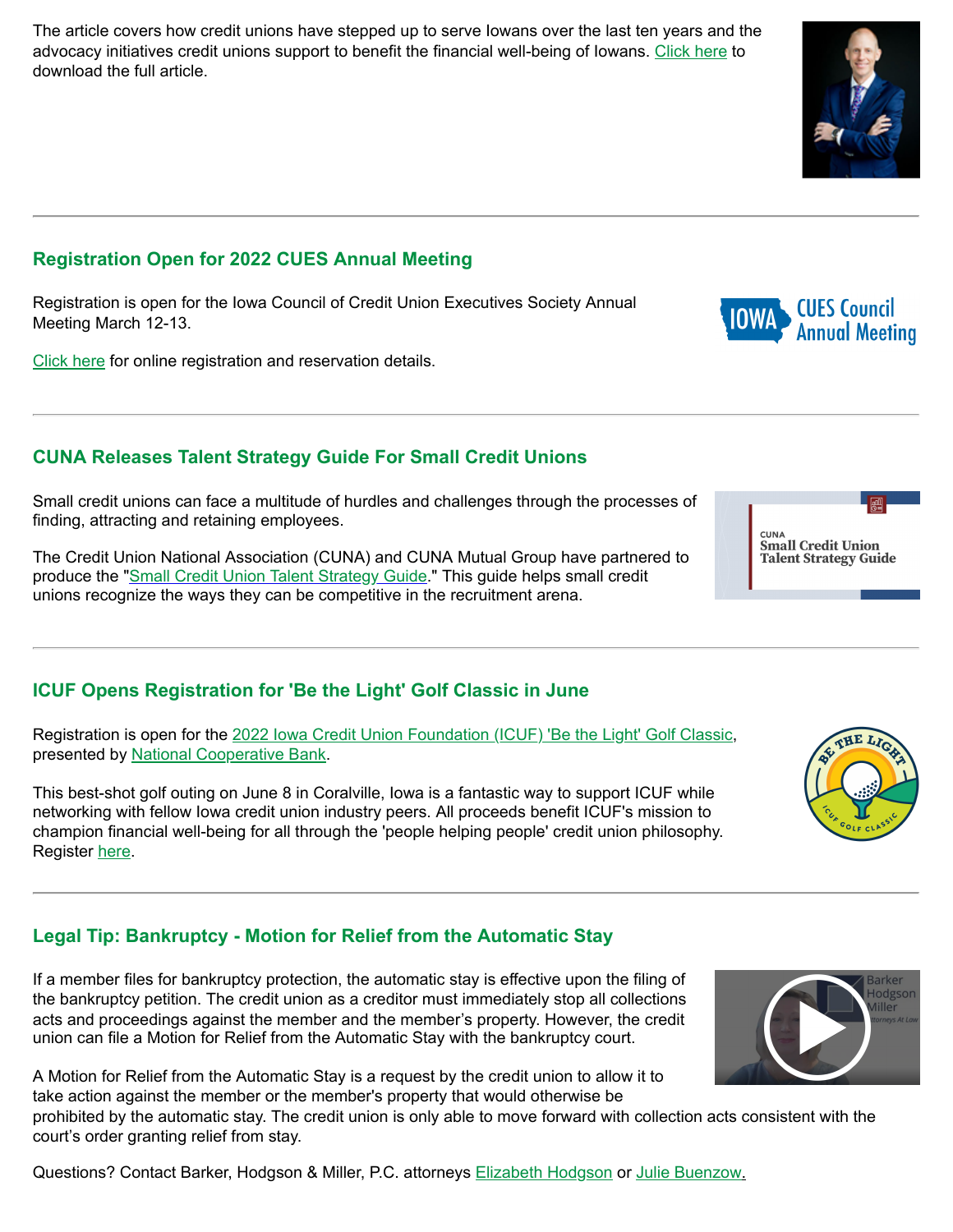The article covers how credit unions have stepped up to serve Iowans over the last ten years and the advocacy initiatives credit unions support to benefit the financial well-being of Iowans. [Click here](https://info.iowacreditunions.com/e/821233/cpts7T-TheGazette-20220306-pdf/4yg29/%%email_id%%?h=%%internal.tracker_url_hash%%) to download the full article.

## **Registration Open for 2022 CUES Annual Meeting**

Registration is open for the Iowa Council of Credit Union Executives Society Annual Meeting March 12-13.

[Click here](https://info.iowacreditunions.com/e/821233/jE66sk2-2022-Cues-Brochure-pdf/4yg2d/%%email_id%%?h=%%internal.tracker_url_hash%%) for online registration and reservation details.

### **CUNA Releases Talent Strategy Guide For Small Credit Unions**

Small credit unions can face a multitude of hurdles and challenges through the processes of finding, attracting and retaining employees.

The Credit Union National Association (CUNA) and CUNA Mutual Group have partnered to produce the ["Small Credit Union Talent Strategy Guide](https://info.iowacreditunions.com/e/821233/-0308225Fnews5Fthedaily5Ffinal/4yg2h/%%email_id%%?h=%%internal.tracker_url_hash%%)." This guide helps small credit unions recognize the ways they can be competitive in the recruitment arena.

### **ICUF Opens Registration for 'Be the Light' Golf Classic in June**

Registration is open for the [2022 Iowa Credit Union Foundation \(ICUF\) 'Be the Light' Golf Classic,](https://info.iowacreditunions.com/e/821233/4ace-9aa4-2027d1ee165e-summary/4yg2l/%%email_id%%?h=%%internal.tracker_url_hash%%) presented by [National Cooperative Bank](https://info.iowacreditunions.com/e/821233/2022-03-24/4yg2p/%%email_id%%?h=%%internal.tracker_url_hash%%).

This best-shot golf outing on June 8 in Coralville, Iowa is a fantastic way to support ICUF while networking with fellow Iowa credit union industry peers. All proceeds benefit ICUF's mission to champion financial well-being for all through the 'people helping people' credit union philosophy. Register [here](https://info.iowacreditunions.com/e/821233/4ace-9aa4-2027d1ee165e-summary/4yg2s/%%email_id%%?h=%%internal.tracker_url_hash%%).

# **Legal Tip: Bankruptcy - Motion for Relief from the Automatic Stay**

If a member files for bankruptcy protection, the automatic stay is effective upon the filing of the bankruptcy petition. The credit union as a creditor must immediately stop all collections acts and proceedings against the member and the member's property. However, the credit union can file a Motion for Relief from the Automatic Stay with the bankruptcy court.

A Motion for Relief from the Automatic Stay is a request by the credit union to allow it to take action against the member or the member's property that would otherwise be

prohibited by the automatic stay. The credit union is only able to move forward with collection acts consistent with the court's order granting relief from stay.

Questions? Contact Barker, Hodgson & Miller, P.C. attorneys [Elizabeth Hodgson](mailto:Elizabeth.Hodgson@amcattorneys.com) or [Julie Buenzow](mailto:Julie.Buenzow@amcattorneys.com).